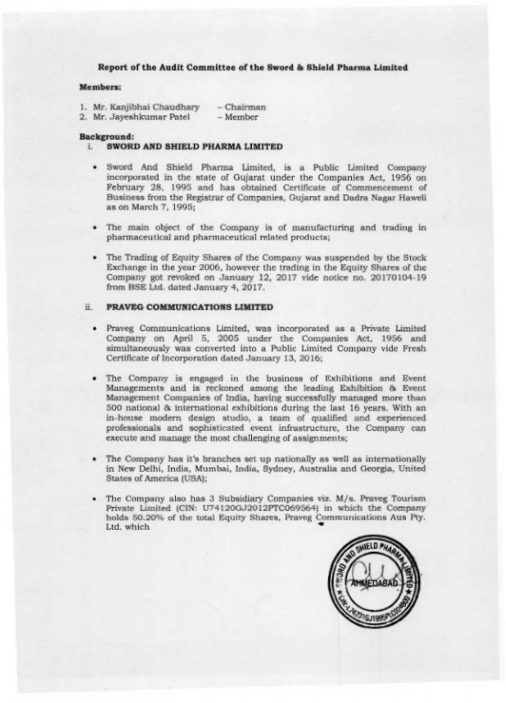Report of the Audit Committee of the Sword & Shield Pharma Limited

### Members:

|  | 1. Mr. Kanjibhai Chaudhary  | – Chairman                         |
|--|-----------------------------|------------------------------------|
|  | O Mr. Jacques Journal David | <b>Bullion and Bullion Company</b> |

2. Mr. Jayeshkumar Patel – Member

### Background:

- **i. SWORD AND SHIELD PHARMA LIMITED** 
	- · Sword And Shield Pharma Limited, is a Public Limited Company incorporated in the state of Gujarat under the Companies Act, 1956 on February 28, 1995 and has obtained Certificate of Commencement of Business from the Registrar of Companies, Gujarat and Dadra Nagar Haweli as on March 7, 1995;
	- The main object of the Company is of manufacturing and trading in pharmaceutical and pharmaceutical related products;
	- The Trading of Equity Shares of the Company was suspended by the Stock Exchange in the year 2006, however the trading in the Equity Shares of the Company got revoked on January 12, 2017 vide notice no. 20170104-19 from BSE Ltd. dated January 4, 2017.

## ii. PRAVEG COMMUNICATIONS LIMITED

- · Praveg Communications Limited, was incorporated as a Private Limited Company on April 5, 2005 under the Companies Act, 1956 and simultaneously was converted into a Public Limited Company vide Fresh Certificate of Incorporation dated January 13, 2016;
- . The Company is engaged in the business of Exhibitions and Event Managements and is reckoned among the leading Exhibition & Event Management Companies of India, having successfully managed more than 500 national & international exhibitions during the last 16 years. With an in-house modern design studio, a team of qualified and experienced professionals and sophisticated event infrastructure, the Company can execute and manage the most challenging of assignments;
- The Company has it's branches set up nationally as well as internationally in New Delhi, India, Mumbai, India, Sydney, Australia and Georgia, United States of America (USA);
- The Company also has 3 Subsidiary Companies viz. M/s. Praveg Tourism Private Limited (CIN: U74120GJ2012PTC069564) in which the Company holds 50.20% of the total Equity Shares, Praveg Communications Aus Pty. Ltd. which

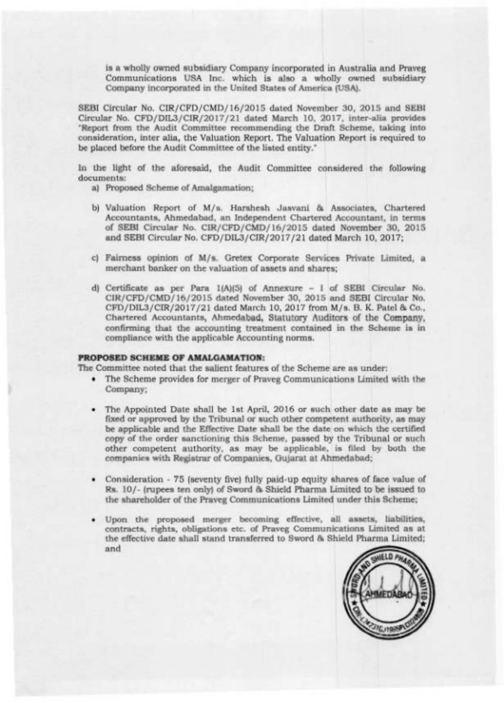is a wholly owned subsidiary Company incorporated in Australia and Prayeg Communications USA Inc. which is also a wholly owned subsidiary Company incorporated in the United States of America (USA).

SEBI Circular No. CIR/CFD/CMD/16/2015 dated November 30, 2015 and SEBI Circular No. CFD/DIL3/CIR/2017/21 dated March 10, 2017, inter-alia provides 'Report from the Audit Committee recommending the Draft Scheme, taking into consideration, inter alia, the Valuation Report. The Valuation Report is required to be placed before the Audit Committee of the listed entity."

In the light of the aforesaid, the Audit Committee considered the following documents:

a) Proposed Scheme of Amalgamation;

- b) Valuation Report of M/s. Harshesh Jasvani & Associates, Chartered Accountants, Ahmedabad, an Independent Chartered Accountant, in terms of SEBI Circular No. CIR/CFD/CMD/16/2015 dated November 30, 2015 and SEBI Circular No. CFD/DIL3/CIR/2017/21 dated March 10, 2017;
- c) Fairness opinion of M/s. Gretex Corporate Services Private Limited, a merchant banker on the valuation of assets and shares:
- d) Certificate as per Para 1(A)(5) of Annexure 1 of SEBI Circular No. CIR/CFD/CMD/16/2015 dated November 30, 2015 and SEBI Circular No. CFD/DIL3/CIR/2017/21 dated March 10, 2017 from M/s. B. K. Patel & Co., Chartered Accountants, Ahmedabad, Statutory Auditors of the Company, confirming that the accounting treatment contained in the Scheme is in compliance with the applicable Accounting norms.

# PROPOSED SCHEME OF AMALGAMATION:

The Committee noted that the salient features of the Scheme are as under:

- The Scheme provides for merger of Praveg Communications Limited with the Company;
- The Appointed Date shall be 1st April, 2016 or such other date as may be fixed or approved by the Tribunal or such other competent authority, as may be applicable and the Effective Date shall be the date on which the certified copy of the order sanctioning this Scheme, passed by the Tribunal or such other competent authority, as may be applicable, is filed by both the companies with Registrar of Companies, Gujarat at Ahmedabad;
- Consideration 75 (seventy five) fully paid-up equity shares of face value of Rs. 10/- (rupees ten only) of Sword & Shield Pharma Limited to be issued to the shareholder of the Praveg Communications Limited under this Scheme;
- · Upon the proposed merger becoming effective, all assets, liabilities, contracts, rights, obligations etc. of Praveg Communications Limited as at the effective date shall stand transferred to Sword & Shield Pharma Limited; and